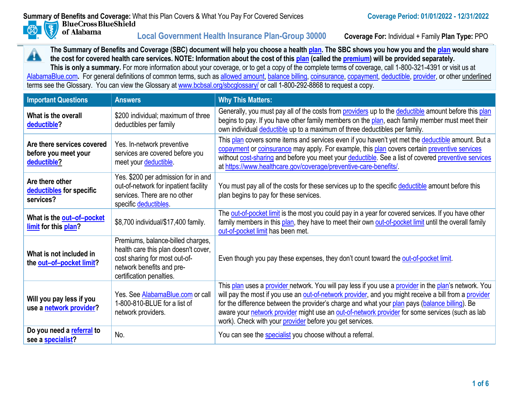图

of Alabama

**Local Government Health Insurance Plan-Group 30000 Coverage For:** Individual + Family **Plan Type:** PPO



[AlabamaBlue.com](http://alabamablue.com/). For general definitions of common terms, such as [allowed amount, balance billing, coinsurance, copayment, deductible, provider,](https://www.bcbsal.org/sbcglossary) or other underlined terms see the Glossary. You can view the Glossary at [www.bcbsal.org/sbcglossary/](http://www.bcbsal.org/sbcglossary/) or call 1-800-292-8868 to request a copy.

| <b>Important Questions</b>                                        | <b>Answers</b>                                                                                                                                                      | <b>Why This Matters:</b>                                                                                                                                                                                                                                                                                                                                                                                                                                                        |
|-------------------------------------------------------------------|---------------------------------------------------------------------------------------------------------------------------------------------------------------------|---------------------------------------------------------------------------------------------------------------------------------------------------------------------------------------------------------------------------------------------------------------------------------------------------------------------------------------------------------------------------------------------------------------------------------------------------------------------------------|
| What is the overall<br>deductible?                                | \$200 individual; maximum of three<br>deductibles per family                                                                                                        | Generally, you must pay all of the costs from providers up to the deductible amount before this plan<br>begins to pay. If you have other family members on the plan, each family member must meet their<br>own individual deductible up to a maximum of three deductibles per family.                                                                                                                                                                                           |
| Are there services covered<br>before you meet your<br>deductible? | Yes. In-network preventive<br>services are covered before you<br>meet your deductible.                                                                              | This plan covers some items and services even if you haven't yet met the deductible amount. But a<br>copayment or coinsurance may apply. For example, this plan covers certain preventive services<br>without cost-sharing and before you meet your deductible. See a list of covered preventive services<br>at https://www.healthcare.gov/coverage/preventive-care-benefits/                                                                                                   |
| Are there other<br>deductibles for specific<br>services?          | Yes. \$200 per admission for in and<br>out-of-network for inpatient facility<br>services. There are no other<br>specific deductibles                                | You must pay all of the costs for these services up to the specific deductible amount before this<br>plan begins to pay for these services.                                                                                                                                                                                                                                                                                                                                     |
| What is the out-of-pocket<br>limit for this plan?                 | \$8,700 individual/\$17,400 family.                                                                                                                                 | The out-of-pocket limit is the most you could pay in a year for covered services. If you have other<br>family members in this plan, they have to meet their own out-of-pocket limit until the overall family<br>out-of-pocket limit has been met.                                                                                                                                                                                                                               |
| What is not included in<br>the out-of-pocket limit?               | Premiums, balance-billed charges,<br>health care this plan doesn't cover,<br>cost sharing for most out-of-<br>network benefits and pre-<br>certification penalties. | Even though you pay these expenses, they don't count toward the out-of-pocket limit.                                                                                                                                                                                                                                                                                                                                                                                            |
| Will you pay less if you<br>use a network provider?               | Yes. See AlabamaBlue.com or call<br>1-800-810-BLUE for a list of<br>network providers.                                                                              | This plan uses a provider network. You will pay less if you use a provider in the plan's network. You<br>will pay the most if you use an out-of-network provider, and you might receive a bill from a provider<br>for the difference between the provider's charge and what your plan pays (balance billing). Be<br>aware your network provider might use an out-of-network provider for some services (such as lab<br>work). Check with your provider before you get services. |
| Do you need a referral to<br>see a specialist?                    | No.                                                                                                                                                                 | You can see the specialist you choose without a referral.                                                                                                                                                                                                                                                                                                                                                                                                                       |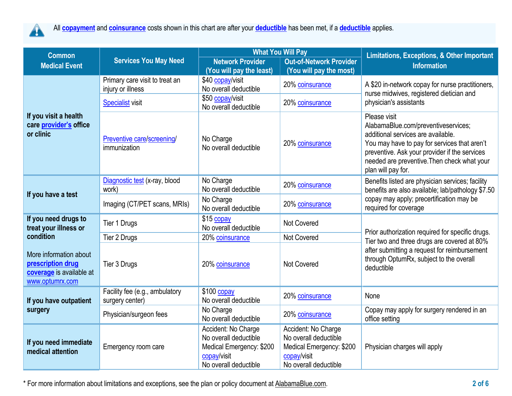

| <b>Common</b>                                                                              | <b>Services You May Need</b>                      |                                                                                                                  | <b>What You Will Pay</b>                                                                                         | <b>Limitations, Exceptions, &amp; Other Important</b><br><b>Information</b>                                                                                                                                                                                     |  |
|--------------------------------------------------------------------------------------------|---------------------------------------------------|------------------------------------------------------------------------------------------------------------------|------------------------------------------------------------------------------------------------------------------|-----------------------------------------------------------------------------------------------------------------------------------------------------------------------------------------------------------------------------------------------------------------|--|
| <b>Medical Event</b>                                                                       |                                                   | <b>Network Provider</b>                                                                                          | <b>Out-of-Network Provider</b>                                                                                   |                                                                                                                                                                                                                                                                 |  |
|                                                                                            |                                                   | (You will pay the least)                                                                                         | (You will pay the most)                                                                                          |                                                                                                                                                                                                                                                                 |  |
|                                                                                            | Primary care visit to treat an                    | \$40 copay/visit                                                                                                 | 20% coinsurance                                                                                                  | A \$20 in-network copay for nurse practitioners,<br>nurse midwives, registered dietician and                                                                                                                                                                    |  |
|                                                                                            | injury or illness                                 | No overall deductible                                                                                            |                                                                                                                  |                                                                                                                                                                                                                                                                 |  |
|                                                                                            | <b>Specialist visit</b>                           | \$50 copay/visit<br>No overall deductible                                                                        | 20% coinsurance                                                                                                  | physician's assistants                                                                                                                                                                                                                                          |  |
| If you visit a health<br>care provider's office<br>or clinic                               | Preventive care/screening/<br>immunization        | No Charge<br>No overall deductible                                                                               | 20% coinsurance                                                                                                  | Please visit<br>AlabamaBlue.com/preventiveservices;<br>additional services are available.<br>You may have to pay for services that aren't<br>preventive. Ask your provider if the services<br>needed are preventive. Then check what your<br>plan will pay for. |  |
| If you have a test                                                                         | Diagnostic test (x-ray, blood<br>work)            | No Charge<br>No overall deductible                                                                               | 20% coinsurance                                                                                                  | Benefits listed are physician services; facility<br>benefits are also available; lab/pathology \$7.50<br>copay may apply; precertification may be<br>required for coverage                                                                                      |  |
|                                                                                            | Imaging (CT/PET scans, MRIs)                      | No Charge<br>No overall deductible                                                                               | 20% coinsurance                                                                                                  |                                                                                                                                                                                                                                                                 |  |
| If you need drugs to<br>treat your illness or                                              | Tier 1 Drugs                                      | \$15 copay<br>No overall deductible                                                                              | <b>Not Covered</b>                                                                                               |                                                                                                                                                                                                                                                                 |  |
| condition                                                                                  | Tier 2 Drugs                                      | 20% coinsurance                                                                                                  | Not Covered                                                                                                      | Prior authorization required for specific drugs.<br>Tier two and three drugs are covered at 80%                                                                                                                                                                 |  |
| More information about<br>prescription drug<br>coverage is available at<br>www.optumrx.com | Tier 3 Drugs                                      | 20% coinsurance                                                                                                  | <b>Not Covered</b>                                                                                               | after submitting a request for reimbursement<br>through OptumRx, subject to the overall<br>deductible                                                                                                                                                           |  |
| If you have outpatient<br>surgery                                                          | Facility fee (e.g., ambulatory<br>surgery center) | $$100$ copay<br>No overall deductible                                                                            | 20% coinsurance                                                                                                  | None                                                                                                                                                                                                                                                            |  |
|                                                                                            | Physician/surgeon fees                            | No Charge<br>No overall deductible                                                                               | 20% coinsurance                                                                                                  | Copay may apply for surgery rendered in an<br>office setting                                                                                                                                                                                                    |  |
| If you need immediate<br>medical attention                                                 | Emergency room care                               | Accident: No Charge<br>No overall deductible<br>Medical Emergency: \$200<br>copay/visit<br>No overall deductible | Accident: No Charge<br>No overall deductible<br>Medical Emergency: \$200<br>copay/visit<br>No overall deductible | Physician charges will apply                                                                                                                                                                                                                                    |  |

\* For more information about limitations and exceptions, see the plan or policy document a[t AlabamaBlue.com.](http://alabamablue.com/) **2 of 6**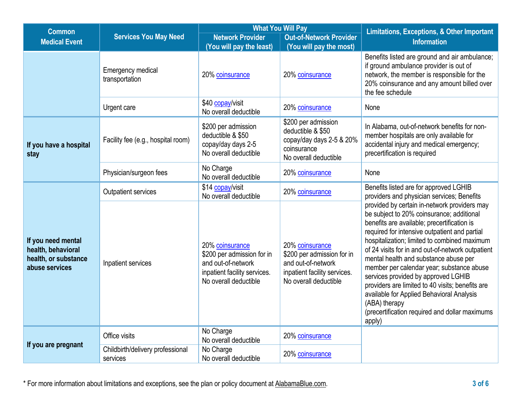| <b>Common</b>                                                                      | <b>Services You May Need</b>                 |                                                                                                                              | <b>What You Will Pay</b>                                                                                                     | <b>Limitations, Exceptions, &amp; Other Important</b>                                                                                                                                                                                                                                                                                                                                                                                                                                                                                                                                                     |  |
|------------------------------------------------------------------------------------|----------------------------------------------|------------------------------------------------------------------------------------------------------------------------------|------------------------------------------------------------------------------------------------------------------------------|-----------------------------------------------------------------------------------------------------------------------------------------------------------------------------------------------------------------------------------------------------------------------------------------------------------------------------------------------------------------------------------------------------------------------------------------------------------------------------------------------------------------------------------------------------------------------------------------------------------|--|
| <b>Medical Event</b>                                                               |                                              | <b>Network Provider</b>                                                                                                      | <b>Out-of-Network Provider</b>                                                                                               | <b>Information</b>                                                                                                                                                                                                                                                                                                                                                                                                                                                                                                                                                                                        |  |
|                                                                                    | <b>Emergency medical</b><br>transportation   | (You will pay the least)<br>20% coinsurance                                                                                  | (You will pay the most)<br>20% coinsurance                                                                                   | Benefits listed are ground and air ambulance;<br>if ground ambulance provider is out of<br>network, the member is responsible for the<br>20% coinsurance and any amount billed over<br>the fee schedule                                                                                                                                                                                                                                                                                                                                                                                                   |  |
|                                                                                    | Urgent care                                  | \$40 copay/visit<br>No overall deductible                                                                                    | 20% coinsurance                                                                                                              | None                                                                                                                                                                                                                                                                                                                                                                                                                                                                                                                                                                                                      |  |
| If you have a hospital<br>stay                                                     | Facility fee (e.g., hospital room)           | \$200 per admission<br>deductible & \$50<br>copay/day days 2-5<br>No overall deductible                                      | \$200 per admission<br>deductible & \$50<br>copay/day days 2-5 & 20%<br>coinsurance<br>No overall deductible                 | In Alabama, out-of-network benefits for non-<br>member hospitals are only available for<br>accidental injury and medical emergency;<br>precertification is required                                                                                                                                                                                                                                                                                                                                                                                                                                       |  |
|                                                                                    | Physician/surgeon fees                       | No Charge<br>No overall deductible                                                                                           | 20% coinsurance                                                                                                              | None                                                                                                                                                                                                                                                                                                                                                                                                                                                                                                                                                                                                      |  |
| If you need mental<br>health, behavioral<br>health, or substance<br>abuse services | Outpatient services                          | \$14 copay/visit<br>No overall deductible                                                                                    | 20% coinsurance                                                                                                              | Benefits listed are for approved LGHIB<br>providers and physician services; Benefits                                                                                                                                                                                                                                                                                                                                                                                                                                                                                                                      |  |
|                                                                                    | Inpatient services                           | 20% coinsurance<br>\$200 per admission for in<br>and out-of-network<br>inpatient facility services.<br>No overall deductible | 20% coinsurance<br>\$200 per admission for in<br>and out-of-network<br>inpatient facility services.<br>No overall deductible | provided by certain in-network providers may<br>be subject to 20% coinsurance; additional<br>benefits are available; precertification is<br>required for intensive outpatient and partial<br>hospitalization; limited to combined maximum<br>of 24 visits for in and out-of-network outpatient<br>mental health and substance abuse per<br>member per calendar year; substance abuse<br>services provided by approved LGHIB<br>providers are limited to 40 visits; benefits are<br>available for Applied Behavioral Analysis<br>(ABA) therapy<br>(precertification required and dollar maximums<br>apply) |  |
| If you are pregnant                                                                | Office visits                                | No Charge<br>No overall deductible                                                                                           | 20% coinsurance                                                                                                              |                                                                                                                                                                                                                                                                                                                                                                                                                                                                                                                                                                                                           |  |
|                                                                                    | Childbirth/delivery professional<br>services | No Charge<br>No overall deductible                                                                                           | 20% coinsurance                                                                                                              |                                                                                                                                                                                                                                                                                                                                                                                                                                                                                                                                                                                                           |  |

\* For more information about limitations and exceptions, see the plan or policy document a[t AlabamaBlue.com.](http://alabamablue.com/) **3 of 6**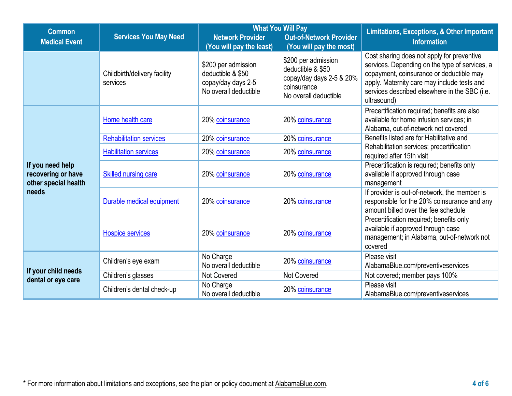| <b>Common</b>                                                           |                                          |                                                                                         | <b>What You Will Pay</b>                                                                                     | <b>Limitations, Exceptions, &amp; Other Important</b>                                                                                                                                                                                                   |  |
|-------------------------------------------------------------------------|------------------------------------------|-----------------------------------------------------------------------------------------|--------------------------------------------------------------------------------------------------------------|---------------------------------------------------------------------------------------------------------------------------------------------------------------------------------------------------------------------------------------------------------|--|
| <b>Medical Event</b>                                                    | <b>Services You May Need</b>             | <b>Network Provider</b><br>(You will pay the least)                                     | <b>Out-of-Network Provider</b><br>(You will pay the most)                                                    | <b>Information</b>                                                                                                                                                                                                                                      |  |
|                                                                         | Childbirth/delivery facility<br>services | \$200 per admission<br>deductible & \$50<br>copay/day days 2-5<br>No overall deductible | \$200 per admission<br>deductible & \$50<br>copay/day days 2-5 & 20%<br>coinsurance<br>No overall deductible | Cost sharing does not apply for preventive<br>services. Depending on the type of services, a<br>copayment, coinsurance or deductible may<br>apply. Maternity care may include tests and<br>services described elsewhere in the SBC (i.e.<br>ultrasound) |  |
|                                                                         | Home health care                         | 20% coinsurance                                                                         | 20% coinsurance                                                                                              | Precertification required; benefits are also<br>available for home infusion services; in<br>Alabama, out-of-network not covered                                                                                                                         |  |
|                                                                         | <b>Rehabilitation services</b>           | 20% coinsurance                                                                         | 20% coinsurance                                                                                              | Benefits listed are for Habilitative and                                                                                                                                                                                                                |  |
|                                                                         | <b>Habilitation services</b>             | 20% coinsurance                                                                         | 20% coinsurance                                                                                              | Rehabilitation services; precertification<br>required after 15th visit                                                                                                                                                                                  |  |
| If you need help<br>recovering or have<br>other special health<br>needs | <b>Skilled nursing care</b>              | 20% coinsurance                                                                         | 20% coinsurance                                                                                              | Precertification is required; benefits only<br>available if approved through case<br>management                                                                                                                                                         |  |
|                                                                         | Durable medical equipment                | 20% coinsurance                                                                         | 20% coinsurance                                                                                              | If provider is out-of-network, the member is<br>responsible for the 20% coinsurance and any<br>amount billed over the fee schedule                                                                                                                      |  |
|                                                                         | <b>Hospice services</b>                  | 20% coinsurance                                                                         | 20% coinsurance                                                                                              | Precertification required; benefits only<br>available if approved through case<br>management; in Alabama, out-of-network not<br>covered                                                                                                                 |  |
|                                                                         | Children's eye exam                      | No Charge<br>No overall deductible                                                      | 20% coinsurance                                                                                              | Please visit<br>AlabamaBlue.com/preventiveservices                                                                                                                                                                                                      |  |
| If your child needs                                                     | Children's glasses                       | <b>Not Covered</b>                                                                      | <b>Not Covered</b>                                                                                           | Not covered; member pays 100%                                                                                                                                                                                                                           |  |
| dental or eye care                                                      | Children's dental check-up               | No Charge<br>No overall deductible                                                      | 20% coinsurance                                                                                              | Please visit<br>AlabamaBlue.com/preventiveservices                                                                                                                                                                                                      |  |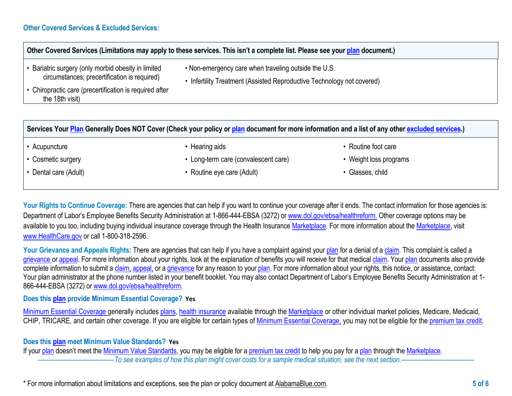## **Other Covered Services (Limitations may apply to these services. This isn't a complete list. Please see you[r plan](https://www.healthcare.gov/sbc-glossary/#plan) document.)** • Bariatric surgery (only morbid obesity in limited • Non-emergency care when traveling outside the U.S.

- 
- Infertility Treatment (Assisted Reproductive Technology not covered)
- Chiropractic care (precertification is required after the 18th visit)

circumstances; precertification is required)

**Services You[r Plan](https://www.bcbsal.org/sbcglossary) Generally Does NOT Cover (Check your policy or [plan](https://www.healthcare.gov/sbc-glossary/#plan) document for more information and a list of any other [excluded services.](https://www.bcbsal.org/sbcglossary))**

• Acupuncture

• Hearing aids

- Cosmetic surgery
- Dental care (Adult)
- Long-term care (convalescent care)
- Routine eye care (Adult)
- Routine foot care
- Weight loss programs
- Glasses, child

Your Rights to Continue Coverage: There are agencies that can help if you want to continue your coverage after it ends. The contact information for those agencies is: Department of Labor's Employee Benefits Security Administration at 1-866-444-EBSA (3272) or [www.dol.gov/ebsa/healthreform](http://www.dol.gov/ebsa/healthreform)[.](https://www.bcbsal.org/sbcglossary) Other coverage options may be available to you too, including buying individual insurance coverage through the Health Insurance [Marketplace.](https://www.bcbsal.org/sbcglossary) For more information about the [Marketplace,](https://www.bcbsal.org/sbcglossary) visit [www.HealthCare.gov](http://www.healthcare.gov/) or call 1-800-318-2596.

Your Grievance and Appeals Rights: There are agencies that can help if you have a complaint against your [plan](https://www.bcbsal.org/sbcglossary) for a denial of a [claim.](https://www.bcbsal.org/sbcglossary) This complaint is called a [grievance](https://www.bcbsal.org/sbcglossary) o[r appeal.](https://www.bcbsal.org/sbcglossary) For more information about your rights, look at the explanation of benefits you will receive for that medical [claim.](https://www.bcbsal.org/sbcglossary) Your [plan](https://www.bcbsal.org/sbcglossary) documents also provide complete information to submit [a claim,](https://www.bcbsal.org/sbcglossary) [appeal,](https://www.bcbsal.org/sbcglossary) or a [grievance](https://www.bcbsal.org/sbcglossary) for any reason to your [plan.](https://www.bcbsal.org/sbcglossary) For more information about your rights, this notice, or assistance, contact: Your plan administrator at the phone number listed in your benefit booklet. You may also contact Department of Labor's Employee Benefits Security Administration at 1- 866-444-EBSA (3272) o[r www.dol.gov/ebsa/healthreform.](http://www.dol.gov/ebsa/healthreform)

## **Does this [plan](https://www.bcbsal.org/sbcglossary) provide Minimum Essential Coverage? Yes**

[Minimum Essential Coverage g](https://www.healthcare.gov/sbc-glossary/#minimum-essential-coverage)enerally includes [plans,](https://www.healthcare.gov/sbc-glossary/#plan) [health insurance](https://www.healthcare.gov/sbc-glossary/#health-insurance) available through the [Marketplace](https://www.healthcare.gov/sbc-glossary/#marketplace) or other individual market policies, Medicare, Medicaid, CHIP, TRICARE, and certain other coverage. If you are eligible for certain types of [Minimum Essential Coverage,](https://www.healthcare.gov/sbc-glossary/#minimum-essential-coverage) you may not be eligible for the [premium tax credit.](https://www.healthcare.gov/sbc-glossary/#premium-tax-credits)

## **Does this [plan](https://www.bcbsal.org/sbcglossary) meet Minimum Value Standards? Yes**

If your [plan](https://www.bcbsal.org/sbcglossary) doesn't meet the [Minimum Value Standards,](https://www.bcbsal.org/sbcglossary) you may be eligible for a [premium tax credit](https://www.bcbsal.org/sbcglossary) to help you pay for [a plan](https://www.bcbsal.org/sbcglossary) through the [Marketplace.](https://www.bcbsal.org/sbcglossary) ––––––––––––––––––––––*To see examples of how this plan might cover costs for a sample medical situation, see the next section.–––––––––––*––––––––––

\* For more information about limitations and exceptions, see the plan or policy document a[t AlabamaBlue.com.](http://alabamablue.com/) **5 of 6**